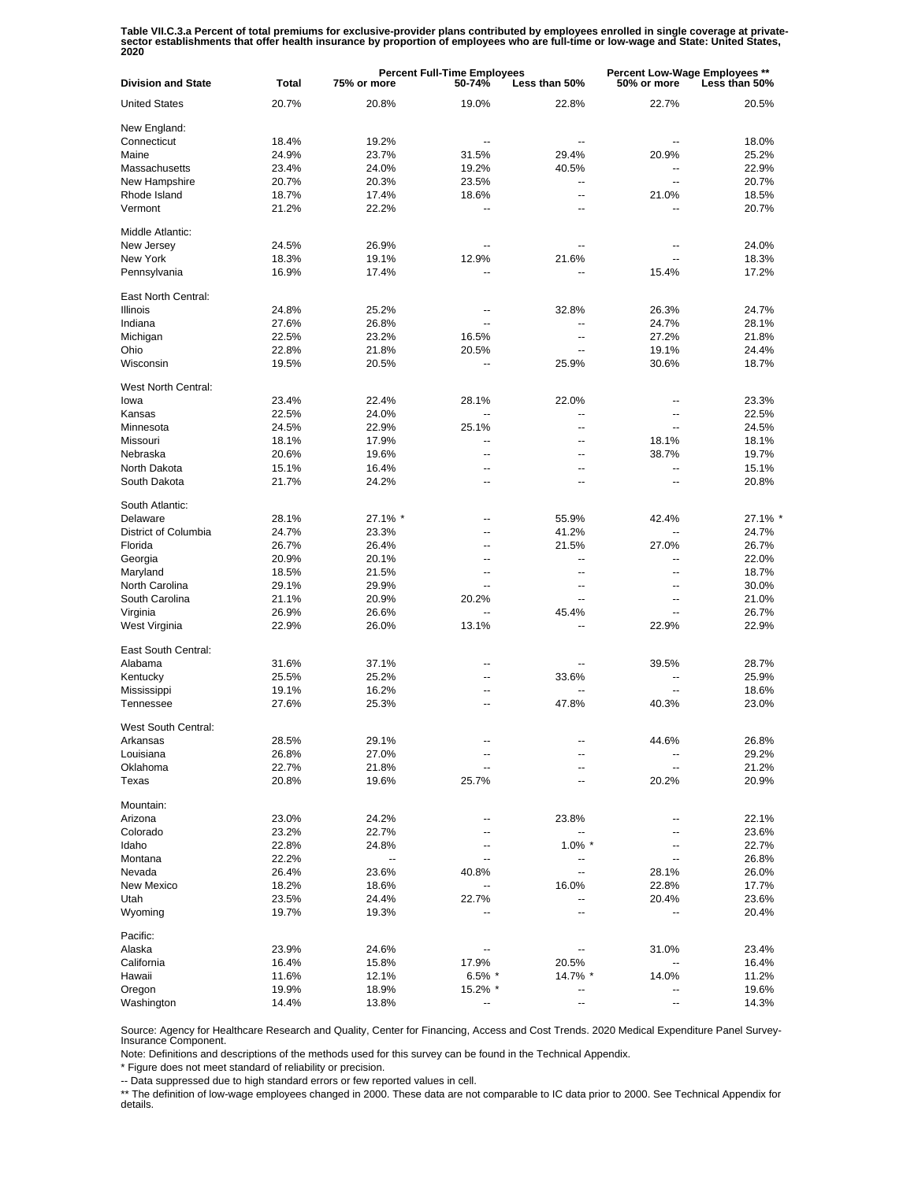Table VII.C.3.a Percent of total premiums for exclusive-provider plans contributed by employees enrolled in single coverage at private-<br>sector establishments that offer health insurance by proportion of employees who are f

| <b>Division and State</b> | <b>Total</b>   | <b>Percent Full-Time Employees</b><br>75% or more<br>50-74%<br>Less than 50% |                          |                | Percent Low-Wage Employees **<br>50% or more<br>Less than 50% |                |
|---------------------------|----------------|------------------------------------------------------------------------------|--------------------------|----------------|---------------------------------------------------------------|----------------|
| <b>United States</b>      | 20.7%          | 20.8%                                                                        | 19.0%                    | 22.8%          | 22.7%                                                         | 20.5%          |
| New England:              |                |                                                                              |                          |                |                                                               |                |
| Connecticut               | 18.4%          | 19.2%                                                                        | $\overline{a}$           | $\overline{a}$ |                                                               | 18.0%          |
| Maine                     | 24.9%          | 23.7%                                                                        | 31.5%                    | 29.4%          | 20.9%                                                         | 25.2%          |
| Massachusetts             | 23.4%          | 24.0%                                                                        | 19.2%                    | 40.5%          |                                                               | 22.9%          |
| New Hampshire             | 20.7%          | 20.3%                                                                        | 23.5%                    | ۰.             | Ξ.                                                            | 20.7%          |
| Rhode Island              | 18.7%          | 17.4%                                                                        | 18.6%                    | $\overline{a}$ | 21.0%                                                         | 18.5%          |
| Vermont                   | 21.2%          | 22.2%                                                                        | $\overline{\phantom{a}}$ | --             |                                                               | 20.7%          |
| Middle Atlantic:          |                |                                                                              |                          |                |                                                               |                |
| New Jersey                | 24.5%          | 26.9%                                                                        |                          |                | $\overline{\phantom{a}}$                                      | 24.0%          |
| New York                  | 18.3%          | 19.1%                                                                        | 12.9%                    | 21.6%          |                                                               | 18.3%          |
| Pennsylvania              | 16.9%          | 17.4%                                                                        | --                       | --             | 15.4%                                                         | 17.2%          |
| East North Central:       |                |                                                                              |                          |                |                                                               |                |
| <b>Illinois</b>           | 24.8%          | 25.2%                                                                        | --                       | 32.8%          | 26.3%                                                         | 24.7%          |
| Indiana                   | 27.6%          | 26.8%                                                                        | $\overline{\phantom{a}}$ | --             | 24.7%                                                         | 28.1%          |
| Michigan                  | 22.5%          | 23.2%                                                                        | 16.5%                    | --             | 27.2%                                                         | 21.8%          |
| Ohio                      | 22.8%          | 21.8%                                                                        | 20.5%                    | --             | 19.1%                                                         | 24.4%          |
| Wisconsin                 | 19.5%          | 20.5%                                                                        | --                       | 25.9%          | 30.6%                                                         | 18.7%          |
| West North Central:       |                |                                                                              |                          |                |                                                               |                |
| lowa                      | 23.4%          | 22.4%                                                                        | 28.1%                    | 22.0%          | --                                                            | 23.3%          |
| Kansas                    | 22.5%          | 24.0%                                                                        | Ξ.                       | $\overline{a}$ | $\overline{\phantom{a}}$                                      | 22.5%          |
| Minnesota                 | 24.5%          | 22.9%                                                                        | 25.1%                    | $\overline{a}$ | $\overline{a}$                                                | 24.5%          |
| Missouri                  | 18.1%          | 17.9%                                                                        | Ξ.                       | --             | 18.1%                                                         | 18.1%          |
| Nebraska                  | 20.6%          | 19.6%                                                                        | ä.                       | --             | 38.7%                                                         | 19.7%          |
| North Dakota              | 15.1%          | 16.4%                                                                        | $\overline{\phantom{a}}$ | --             | $\overline{a}$                                                | 15.1%          |
| South Dakota              | 21.7%          | 24.2%                                                                        | $\overline{\phantom{a}}$ | $\overline{a}$ | $\overline{a}$                                                | 20.8%          |
| South Atlantic:           |                |                                                                              |                          |                |                                                               |                |
| Delaware                  | 28.1%          | 27.1% *                                                                      | --                       | 55.9%          | 42.4%                                                         | 27.1% *        |
| District of Columbia      | 24.7%          | 23.3%                                                                        | --                       | 41.2%          |                                                               | 24.7%          |
| Florida                   | 26.7%          | 26.4%                                                                        | --                       | 21.5%          | 27.0%                                                         | 26.7%          |
| Georgia                   | 20.9%          | 20.1%                                                                        | --                       | $\overline{a}$ | --                                                            | 22.0%          |
| Maryland                  | 18.5%          | 21.5%                                                                        | --                       | --             | $-$                                                           | 18.7%          |
|                           |                |                                                                              | $\overline{a}$           |                |                                                               |                |
| North Carolina            | 29.1%          | 29.9%                                                                        |                          | --             | $\overline{\phantom{a}}$                                      | 30.0%          |
| South Carolina            | 21.1%          | 20.9%                                                                        | 20.2%                    |                | --                                                            | 21.0%          |
| Virginia                  | 26.9%          | 26.6%                                                                        |                          | 45.4%          |                                                               | 26.7%          |
| West Virginia             | 22.9%          | 26.0%                                                                        | 13.1%                    |                | 22.9%                                                         | 22.9%          |
| East South Central:       |                |                                                                              |                          |                |                                                               |                |
| Alabama                   | 31.6%          | 37.1%                                                                        | --                       |                | 39.5%                                                         | 28.7%          |
| Kentucky                  | 25.5%          | 25.2%                                                                        | --                       | 33.6%          | $\overline{\phantom{a}}$                                      | 25.9%          |
| Mississippi               | 19.1%          | 16.2%                                                                        | --                       | --             | $\overline{\phantom{a}}$                                      | 18.6%          |
| Tennessee                 | 27.6%          | 25.3%                                                                        | ц.                       | 47.8%          | 40.3%                                                         | 23.0%          |
| West South Central:       |                |                                                                              |                          |                |                                                               |                |
| Arkansas                  | 28.5%          | 29.1%                                                                        |                          |                | 44.6%                                                         | 26.8%          |
| Louisiana                 | 26.8%          | 27.0%                                                                        | --                       |                |                                                               | 29.2%          |
| Oklahoma                  | 22.7%          | 21.8%                                                                        | ц.                       |                | --                                                            | 21.2%          |
| Texas                     | 20.8%          | 19.6%                                                                        | 25.7%                    |                | 20.2%                                                         | 20.9%          |
| Mountain:                 |                |                                                                              |                          |                |                                                               |                |
| Arizona                   | 23.0%          | 24.2%                                                                        | --                       | 23.8%          |                                                               | 22.1%          |
| Colorado                  | 23.2%          | 22.7%                                                                        | --                       |                |                                                               | 23.6%          |
| Idaho                     | 22.8%          | 24.8%                                                                        | --                       | $1.0\%$ *      |                                                               | 22.7%          |
| Montana                   | 22.2%          |                                                                              | --                       |                |                                                               | 26.8%          |
| Nevada                    | 26.4%          | 23.6%                                                                        | 40.8%                    | --             | 28.1%                                                         | 26.0%          |
| <b>New Mexico</b>         | 18.2%          | 18.6%                                                                        |                          | 16.0%          | 22.8%                                                         | 17.7%          |
| Utah                      | 23.5%          | 24.4%                                                                        | 22.7%                    |                | 20.4%                                                         | 23.6%          |
| Wyoming                   | 19.7%          | 19.3%                                                                        |                          |                |                                                               | 20.4%          |
| Pacific:                  |                |                                                                              |                          |                |                                                               |                |
| Alaska                    | 23.9%          | 24.6%                                                                        | --                       |                | 31.0%                                                         | 23.4%          |
| California                | 16.4%          | 15.8%                                                                        | 17.9%                    | 20.5%          |                                                               | 16.4%          |
| Hawaii                    | 11.6%          | 12.1%                                                                        | $6.5\%$ *                | 14.7% *        | 14.0%                                                         | 11.2%          |
| Oregon                    |                | 18.9%                                                                        | 15.2% *                  | --             |                                                               |                |
| Washington                | 19.9%<br>14.4% |                                                                              | --                       | Ξ.             |                                                               | 19.6%<br>14.3% |
|                           |                | 13.8%                                                                        |                          |                |                                                               |                |

Source: Agency for Healthcare Research and Quality, Center for Financing, Access and Cost Trends. 2020 Medical Expenditure Panel Survey-Insurance Component.

Note: Definitions and descriptions of the methods used for this survey can be found in the Technical Appendix.

\* Figure does not meet standard of reliability or precision.

-- Data suppressed due to high standard errors or few reported values in cell.

\*\* The definition of low-wage employees changed in 2000. These data are not comparable to IC data prior to 2000. See Technical Appendix for details.